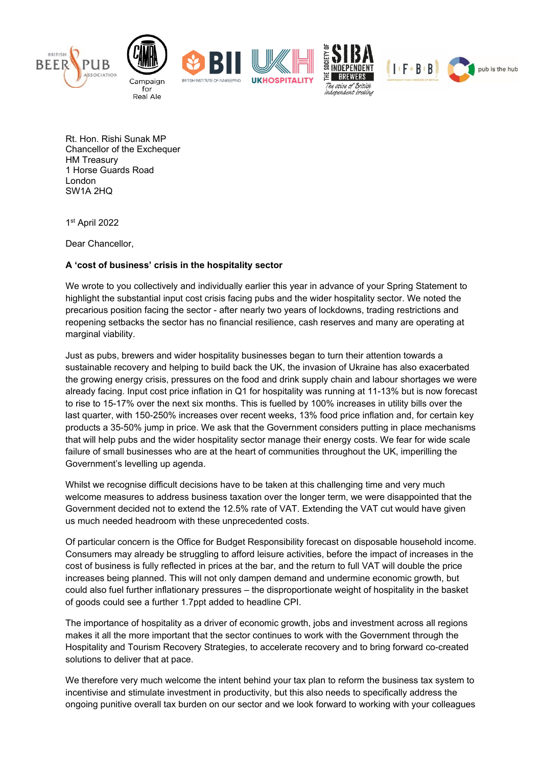



Rt. Hon. Rishi Sunak MP Chancellor of the Exchequer HM Treasury 1 Horse Guards Road London SW1A 2HQ

1st April 2022

Dear Chancellor,

## **A 'cost of business' crisis in the hospitality sector**

We wrote to you collectively and individually earlier this year in advance of your Spring Statement to highlight the substantial input cost crisis facing pubs and the wider hospitality sector. We noted the precarious position facing the sector - after nearly two years of lockdowns, trading restrictions and reopening setbacks the sector has no financial resilience, cash reserves and many are operating at marginal viability.

Just as pubs, brewers and wider hospitality businesses began to turn their attention towards a sustainable recovery and helping to build back the UK, the invasion of Ukraine has also exacerbated the growing energy crisis, pressures on the food and drink supply chain and labour shortages we were already facing. Input cost price inflation in Q1 for hospitality was running at 11-13% but is now forecast to rise to 15-17% over the next six months. This is fuelled by 100% increases in utility bills over the last quarter, with 150-250% increases over recent weeks, 13% food price inflation and, for certain key products a 35-50% jump in price. We ask that the Government considers putting in place mechanisms that will help pubs and the wider hospitality sector manage their energy costs. We fear for wide scale failure of small businesses who are at the heart of communities throughout the UK, imperilling the Government's levelling up agenda.

Whilst we recognise difficult decisions have to be taken at this challenging time and very much welcome measures to address business taxation over the longer term, we were disappointed that the Government decided not to extend the 12.5% rate of VAT. Extending the VAT cut would have given us much needed headroom with these unprecedented costs.

Of particular concern is the Office for Budget Responsibility forecast on disposable household income. Consumers may already be struggling to afford leisure activities, before the impact of increases in the cost of business is fully reflected in prices at the bar, and the return to full VAT will double the price increases being planned. This will not only dampen demand and undermine economic growth, but could also fuel further inflationary pressures – the disproportionate weight of hospitality in the basket of goods could see a further 1.7ppt added to headline CPI.

The importance of hospitality as a driver of economic growth, jobs and investment across all regions makes it all the more important that the sector continues to work with the Government through the Hospitality and Tourism Recovery Strategies, to accelerate recovery and to bring forward co-created solutions to deliver that at pace.

We therefore very much welcome the intent behind your tax plan to reform the business tax system to incentivise and stimulate investment in productivity, but this also needs to specifically address the ongoing punitive overall tax burden on our sector and we look forward to working with your colleagues